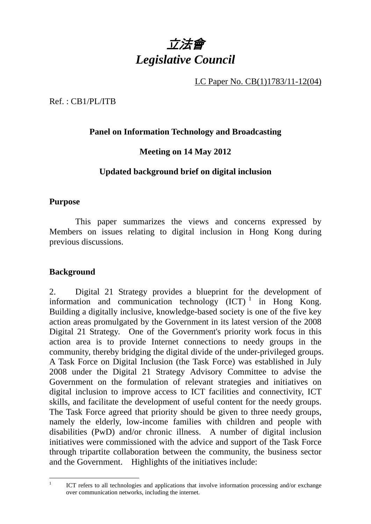

LC Paper No. CB(1)1783/11-12(04)

Ref. : CB1/PL/ITB

## **Panel on Information Technology and Broadcasting**

## **Meeting on 14 May 2012**

## **Updated background brief on digital inclusion**

#### **Purpose**

This paper summarizes the views and concerns expressed by Members on issues relating to digital inclusion in Hong Kong during previous discussions.

#### **Background**

 $\frac{1}{1}$ 

2. Digital 21 Strategy provides a blueprint for the development of information and communication technology  $(ICT)^1$  in Hong Kong. Building a digitally inclusive, knowledge-based society is one of the five key action areas promulgated by the Government in its latest version of the 2008 Digital 21 Strategy. One of the Government's priority work focus in this action area is to provide Internet connections to needy groups in the community, thereby bridging the digital divide of the under-privileged groups. A Task Force on Digital Inclusion (the Task Force) was established in July 2008 under the Digital 21 Strategy Advisory Committee to advise the Government on the formulation of relevant strategies and initiatives on digital inclusion to improve access to ICT facilities and connectivity, ICT skills, and facilitate the development of useful content for the needy groups. The Task Force agreed that priority should be given to three needy groups, namely the elderly, low-income families with children and people with disabilities (PwD) and/or chronic illness. A number of digital inclusion initiatives were commissioned with the advice and support of the Task Force through tripartite collaboration between the community, the business sector and the Government. Highlights of the initiatives include:

ICT refers to all technologies and applications that involve information processing and/or exchange over communication networks, including the internet.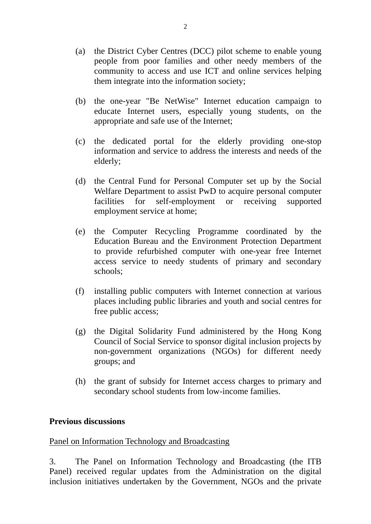- (a) the District Cyber Centres (DCC) pilot scheme to enable young people from poor families and other needy members of the community to access and use ICT and online services helping them integrate into the information society;
- (b) the one-year "Be NetWise" Internet education campaign to educate Internet users, especially young students, on the appropriate and safe use of the Internet;
- (c) the dedicated portal for the elderly providing one-stop information and service to address the interests and needs of the elderly;
- (d) the Central Fund for Personal Computer set up by the Social Welfare Department to assist PwD to acquire personal computer facilities for self-employment or receiving supported employment service at home;
- (e) the Computer Recycling Programme coordinated by the Education Bureau and the Environment Protection Department to provide refurbished computer with one-year free Internet access service to needy students of primary and secondary schools;
- (f) installing public computers with Internet connection at various places including public libraries and youth and social centres for free public access;
- (g) the Digital Solidarity Fund administered by the Hong Kong Council of Social Service to sponsor digital inclusion projects by non-government organizations (NGOs) for different needy groups; and
- (h) the grant of subsidy for Internet access charges to primary and secondary school students from low-income families.

#### **Previous discussions**

#### Panel on Information Technology and Broadcasting

3. The Panel on Information Technology and Broadcasting (the ITB Panel) received regular updates from the Administration on the digital inclusion initiatives undertaken by the Government, NGOs and the private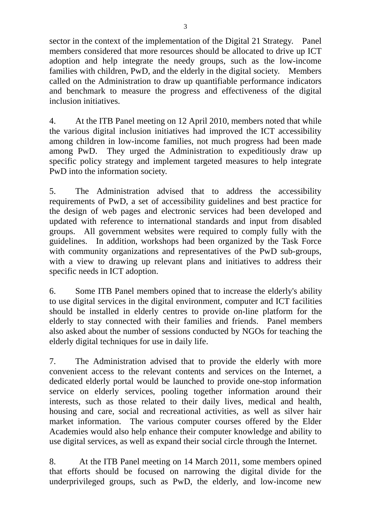sector in the context of the implementation of the Digital 21 Strategy. Panel members considered that more resources should be allocated to drive up ICT adoption and help integrate the needy groups, such as the low-income families with children, PwD, and the elderly in the digital society. Members called on the Administration to draw up quantifiable performance indicators and benchmark to measure the progress and effectiveness of the digital inclusion initiatives.

4. At the ITB Panel meeting on 12 April 2010, members noted that while the various digital inclusion initiatives had improved the ICT accessibility among children in low-income families, not much progress had been made among PwD. They urged the Administration to expeditiously draw up specific policy strategy and implement targeted measures to help integrate PwD into the information society.

5. The Administration advised that to address the accessibility requirements of PwD, a set of accessibility guidelines and best practice for the design of web pages and electronic services had been developed and updated with reference to international standards and input from disabled groups. All government websites were required to comply fully with the guidelines. In addition, workshops had been organized by the Task Force with community organizations and representatives of the PwD sub-groups, with a view to drawing up relevant plans and initiatives to address their specific needs in ICT adoption.

6. Some ITB Panel members opined that to increase the elderly's ability to use digital services in the digital environment, computer and ICT facilities should be installed in elderly centres to provide on-line platform for the elderly to stay connected with their families and friends. Panel members also asked about the number of sessions conducted by NGOs for teaching the elderly digital techniques for use in daily life.

7. The Administration advised that to provide the elderly with more convenient access to the relevant contents and services on the Internet, a dedicated elderly portal would be launched to provide one-stop information service on elderly services, pooling together information around their interests, such as those related to their daily lives, medical and health, housing and care, social and recreational activities, as well as silver hair market information. The various computer courses offered by the Elder Academies would also help enhance their computer knowledge and ability to use digital services, as well as expand their social circle through the Internet.

8. At the ITB Panel meeting on 14 March 2011, some members opined that efforts should be focused on narrowing the digital divide for the underprivileged groups, such as PwD, the elderly, and low-income new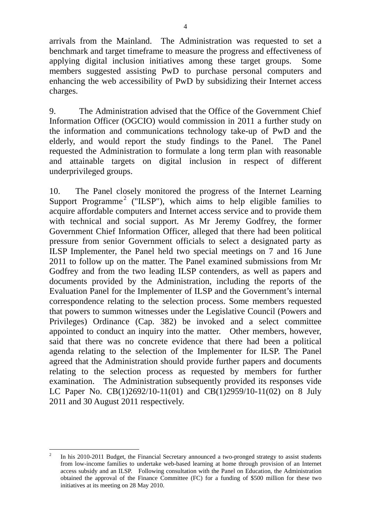arrivals from the Mainland. The Administration was requested to set a benchmark and target timeframe to measure the progress and effectiveness of applying digital inclusion initiatives among these target groups. Some members suggested assisting PwD to purchase personal computers and enhancing the web accessibility of PwD by subsidizing their Internet access charges.

9. The Administration advised that the Office of the Government Chief Information Officer (OGCIO) would commission in 2011 a further study on the information and communications technology take-up of PwD and the elderly, and would report the study findings to the Panel. The Panel requested the Administration to formulate a long term plan with reasonable and attainable targets on digital inclusion in respect of different underprivileged groups.

10. The Panel closely monitored the progress of the Internet Learning Support Programme<sup>2</sup> ("ILSP"), which aims to help eligible families to acquire affordable computers and Internet access service and to provide them with technical and social support. As Mr Jeremy Godfrey, the former Government Chief Information Officer, alleged that there had been political pressure from senior Government officials to select a designated party as ILSP Implementer, the Panel held two special meetings on 7 and 16 June 2011 to follow up on the matter. The Panel examined submissions from Mr Godfrey and from the two leading ILSP contenders, as well as papers and documents provided by the Administration, including the reports of the Evaluation Panel for the Implementer of ILSP and the Government's internal correspondence relating to the selection process. Some members requested that powers to summon witnesses under the Legislative Council (Powers and Privileges) Ordinance (Cap. 382) be invoked and a select committee appointed to conduct an inquiry into the matter. Other members, however, said that there was no concrete evidence that there had been a political agenda relating to the selection of the Implementer for ILSP. The Panel agreed that the Administration should provide further papers and documents relating to the selection process as requested by members for further examination. The Administration subsequently provided its responses vide LC Paper No. CB(1)2692/10-11(01) and CB(1)2959/10-11(02) on 8 July 2011 and 30 August 2011 respectively.

 $\overline{a}$ 2 In his 2010-2011 Budget, the Financial Secretary announced a two-pronged strategy to assist students from low-income families to undertake web-based learning at home through provision of an Internet access subsidy and an ILSP. Following consultation with the Panel on Education, the Administration obtained the approval of the Finance Committee (FC) for a funding of \$500 million for these two initiatives at its meeting on 28 May 2010.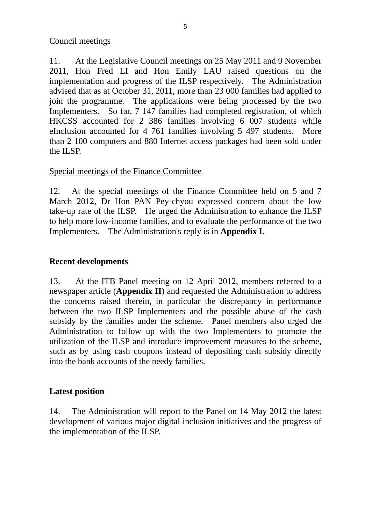11. At the Legislative Council meetings on 25 May 2011 and 9 November 2011, Hon Fred LI and Hon Emily LAU raised questions on the implementation and progress of the ILSP respectively. The Administration advised that as at October 31, 2011, more than 23 000 families had applied to join the programme. The applications were being processed by the two Implementers. So far, 7 147 families had completed registration, of which HKCSS accounted for 2 386 families involving 6 007 students while eInclusion accounted for 4 761 families involving 5 497 students. More than 2 100 computers and 880 Internet access packages had been sold under the ILSP.

## Special meetings of the Finance Committee

12. At the special meetings of the Finance Committee held on 5 and 7 March 2012, Dr Hon PAN Pey-chyou expressed concern about the low take-up rate of the ILSP. He urged the Administration to enhance the ILSP to help more low-income families, and to evaluate the performance of the two Implementers. The Administration's reply is in **Appendix I.** 

## **Recent developments**

13. At the ITB Panel meeting on 12 April 2012, members referred to a newspaper article (**Appendix II**) and requested the Administration to address the concerns raised therein, in particular the discrepancy in performance between the two ILSP Implementers and the possible abuse of the cash subsidy by the families under the scheme. Panel members also urged the Administration to follow up with the two Implementers to promote the utilization of the ILSP and introduce improvement measures to the scheme, such as by using cash coupons instead of depositing cash subsidy directly into the bank accounts of the needy families.

## **Latest position**

14. The Administration will report to the Panel on 14 May 2012 the latest development of various major digital inclusion initiatives and the progress of the implementation of the ILSP.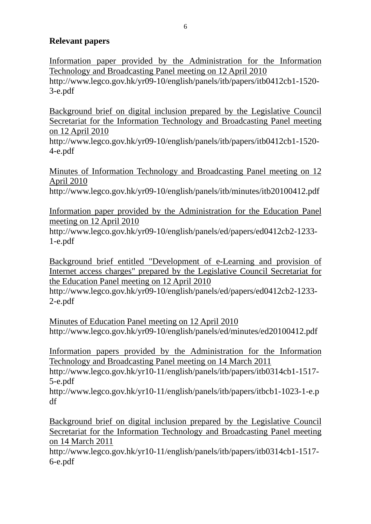#### **Relevant papers**

Information paper provided by the Administration for the Information Technology and Broadcasting Panel meeting on 12 April 2010 http://www.legco.gov.hk/yr09-10/english/panels/itb/papers/itb0412cb1-1520- 3-e.pdf

Background brief on digital inclusion prepared by the Legislative Council Secretariat for the Information Technology and Broadcasting Panel meeting on 12 April 2010

http://www.legco.gov.hk/yr09-10/english/panels/itb/papers/itb0412cb1-1520- 4-e.pdf

Minutes of Information Technology and Broadcasting Panel meeting on 12 April 2010

http://www.legco.gov.hk/yr09-10/english/panels/itb/minutes/itb20100412.pdf

Information paper provided by the Administration for the Education Panel meeting on 12 April 2010

http://www.legco.gov.hk/yr09-10/english/panels/ed/papers/ed0412cb2-1233- 1-e.pdf

Background brief entitled "Development of e-Learning and provision of Internet access charges" prepared by the Legislative Council Secretariat for the Education Panel meeting on 12 April 2010

http://www.legco.gov.hk/yr09-10/english/panels/ed/papers/ed0412cb2-1233- 2-e.pdf

Minutes of Education Panel meeting on 12 April 2010 http://www.legco.gov.hk/yr09-10/english/panels/ed/minutes/ed20100412.pdf

Information papers provided by the Administration for the Information Technology and Broadcasting Panel meeting on 14 March 2011

http://www.legco.gov.hk/yr10-11/english/panels/itb/papers/itb0314cb1-1517- 5-e.pdf

http://www.legco.gov.hk/yr10-11/english/panels/itb/papers/itbcb1-1023-1-e.p df

Background brief on digital inclusion prepared by the Legislative Council Secretariat for the Information Technology and Broadcasting Panel meeting on 14 March 2011

http://www.legco.gov.hk/yr10-11/english/panels/itb/papers/itb0314cb1-1517- 6-e.pdf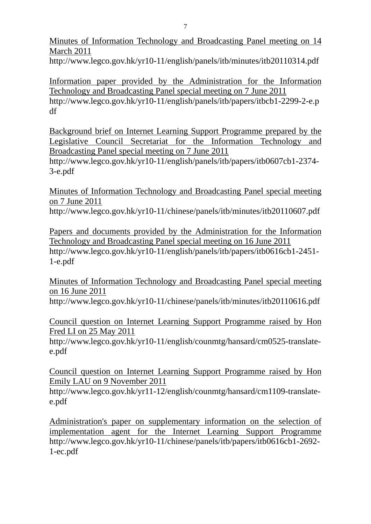Minutes of Information Technology and Broadcasting Panel meeting on 14 March 2011

http://www.legco.gov.hk/yr10-11/english/panels/itb/minutes/itb20110314.pdf

Information paper provided by the Administration for the Information Technology and Broadcasting Panel special meeting on 7 June 2011 http://www.legco.gov.hk/yr10-11/english/panels/itb/papers/itbcb1-2299-2-e.p df

Background brief on Internet Learning Support Programme prepared by the Legislative Council Secretariat for the Information Technology and Broadcasting Panel special meeting on 7 June 2011

http://www.legco.gov.hk/yr10-11/english/panels/itb/papers/itb0607cb1-2374- 3-e.pdf

Minutes of Information Technology and Broadcasting Panel special meeting on 7 June 2011

http://www.legco.gov.hk/yr10-11/chinese/panels/itb/minutes/itb20110607.pdf

Papers and documents provided by the Administration for the Information Technology and Broadcasting Panel special meeting on 16 June 2011 http://www.legco.gov.hk/yr10-11/english/panels/itb/papers/itb0616cb1-2451- 1-e.pdf

Minutes of Information Technology and Broadcasting Panel special meeting on 16 June 2011

http://www.legco.gov.hk/yr10-11/chinese/panels/itb/minutes/itb20110616.pdf

Council question on Internet Learning Support Programme raised by Hon Fred LI on 25 May 2011

http://www.legco.gov.hk/yr10-11/english/counmtg/hansard/cm0525-translatee.pdf

Council question on Internet Learning Support Programme raised by Hon Emily LAU on 9 November 2011

http://www.legco.gov.hk/yr11-12/english/counmtg/hansard/cm1109-translatee.pdf

Administration's paper on supplementary information on the selection of implementation agent for the Internet Learning Support Programme http://www.legco.gov.hk/yr10-11/chinese/panels/itb/papers/itb0616cb1-2692- 1-ec.pdf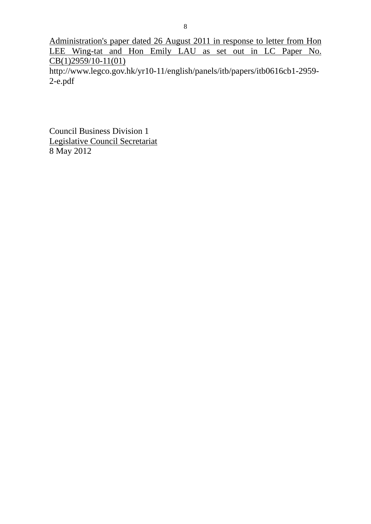Administration's paper dated 26 August 2011 in response to letter from Hon LEE Wing-tat and Hon Emily LAU as set out in LC Paper No. CB(1)2959/10-11(01) http://www.legco.gov.hk/yr10-11/english/panels/itb/papers/itb0616cb1-2959-

2-e.pdf

Council Business Division 1 Legislative Council Secretariat 8 May 2012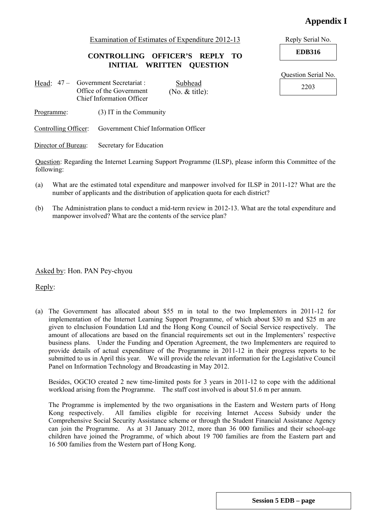#### **Appendix I**

Examination of Estimates of Expenditure 2012-13 Reply Serial No.

**CONTROLLING OFFICER'S REPLY TO EDB316 INITIAL WRITTEN QUESTION** 

- Head: 47 Government Secretariat : Subhead 2203 Office of the Government Chief Information Officer Subhead (No. & title):
- Programme: (3) IT in the Community

Controlling Officer: Government Chief Information Officer

Director of Bureau: Secretary for Education

Question: Regarding the Internet Learning Support Programme (ILSP), please inform this Committee of the following:

- (a) What are the estimated total expenditure and manpower involved for ILSP in 2011-12? What are the number of applicants and the distribution of application quota for each district?
- (b) The Administration plans to conduct a mid-term review in 2012-13. What are the total expenditure and manpower involved? What are the contents of the service plan?

Asked by: Hon. PAN Pey-chyou

Reply:

(a) The Government has allocated about \$55 m in total to the two Implementers in 2011-12 for implementation of the Internet Learning Support Programme, of which about \$30 m and \$25 m are given to eInclusion Foundation Ltd and the Hong Kong Council of Social Service respectively. The amount of allocations are based on the financial requirements set out in the Implementers' respective business plans. Under the Funding and Operation Agreement, the two Implementers are required to provide details of actual expenditure of the Programme in 2011-12 in their progress reports to be submitted to us in April this year. We will provide the relevant information for the Legislative Council Panel on Information Technology and Broadcasting in May 2012.

 Besides, OGCIO created 2 new time-limited posts for 3 years in 2011-12 to cope with the additional workload arising from the Programme. The staff cost involved is about \$1.6 m per annum.

 The Programme is implemented by the two organisations in the Eastern and Western parts of Hong Kong respectively. All families eligible for receiving Internet Access Subsidy under the Comprehensive Social Security Assistance scheme or through the Student Financial Assistance Agency can join the Programme. As at 31 January 2012, more than 36 000 families and their school-age children have joined the Programme, of which about 19 700 families are from the Eastern part and 16 500 families from the Western part of Hong Kong.

Question Serial No.

**Session 5 EDB – page**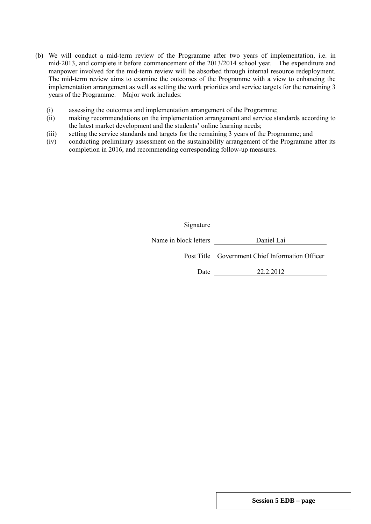- (b) We will conduct a mid-term review of the Programme after two years of implementation, i.e. in mid-2013, and complete it before commencement of the 2013/2014 school year. The expenditure and manpower involved for the mid-term review will be absorbed through internal resource redeployment. The mid-term review aims to examine the outcomes of the Programme with a view to enhancing the implementation arrangement as well as setting the work priorities and service targets for the remaining 3 years of the Programme. Major work includes:
	- (i) assessing the outcomes and implementation arrangement of the Programme;
	- (ii) making recommendations on the implementation arrangement and service standards according to the latest market development and the students' online learning needs;
	- (iii) setting the service standards and targets for the remaining 3 years of the Programme; and
	- (iv) conducting preliminary assessment on the sustainability arrangement of the Programme after its completion in 2016, and recommending corresponding follow-up measures.

| Signature             |                                                 |
|-----------------------|-------------------------------------------------|
| Name in block letters | Daniel Lai                                      |
|                       | Post Title Government Chief Information Officer |
| Date                  | 22.2.2012                                       |
|                       |                                                 |

**Session 5 EDB – page**